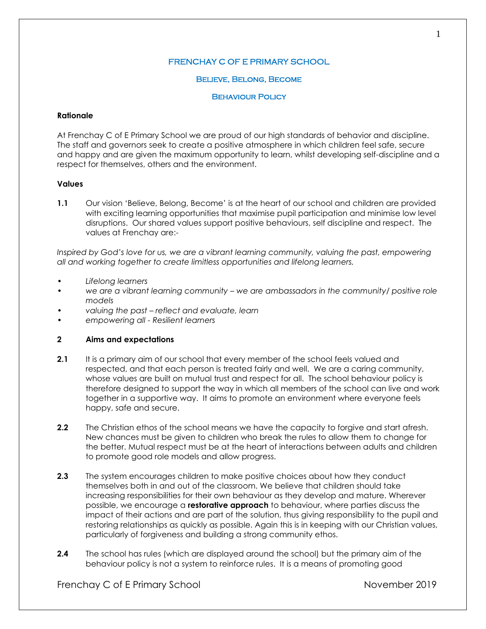# FRENCHAY C OF E PRIMARY SCHOOL

## Believe, Belong, Become

## **BEHAVIOUR POLICY**

## **Rationale**

At Frenchay C of E Primary School we are proud of our high standards of behavior and discipline. The staff and governors seek to create a positive atmosphere in which children feel safe, secure and happy and are given the maximum opportunity to learn, whilst developing self-discipline and a respect for themselves, others and the environment.

## **Values**

**1.1** Our vision 'Believe, Belong, Become' is at the heart of our school and children are provided with exciting learning opportunities that maximise pupil participation and minimise low level disruptions. Our shared values support positive behaviours, self discipline and respect. The values at Frenchay are:-

*Inspired by God's love for us, we are a vibrant learning community, valuing the past, empowering all and working together to create limitless opportunities and lifelong learners.*

- *• Lifelong learners*
- *• we are a vibrant learning community – we are ambassadors in the community/ positive role models*
- *• valuing the past – reflect and evaluate, learn*
- *• empowering all - Resilient learners*

## **2 Aims and expectations**

- **2.1** It is a primary aim of our school that every member of the school feels valued and respected, and that each person is treated fairly and well. We are a caring community, whose values are built on mutual trust and respect for all. The school behaviour policy is therefore designed to support the way in which all members of the school can live and work together in a supportive way. It aims to promote an environment where everyone feels happy, safe and secure.
- **2.2** The Christian ethos of the school means we have the capacity to forgive and start afresh. New chances must be given to children who break the rules to allow them to change for the better. Mutual respect must be at the heart of interactions between adults and children to promote good role models and allow progress.
- **2.3** The system encourages children to make positive choices about how they conduct themselves both in and out of the classroom. We believe that children should take increasing responsibilities for their own behaviour as they develop and mature. Wherever possible, we encourage a **restorative approach** to behaviour, where parties discuss the impact of their actions and are part of the solution, thus giving responsibility to the pupil and restoring relationships as quickly as possible. Again this is in keeping with our Christian values, particularly of forgiveness and building a strong community ethos.
- **2.4** The school has rules (which are displayed around the school) but the primary aim of the behaviour policy is not a system to reinforce rules. It is a means of promoting good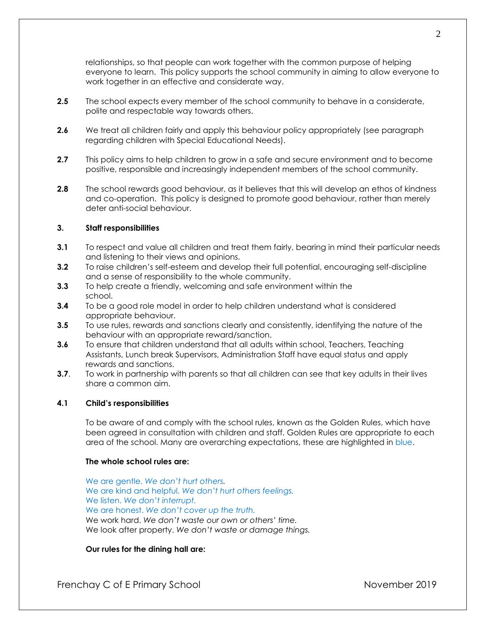relationships, so that people can work together with the common purpose of helping everyone to learn. This policy supports the school community in aiming to allow everyone to work together in an effective and considerate way.

- **2.5** The school expects every member of the school community to behave in a considerate, polite and respectable way towards others.
- **2.6** We treat all children fairly and apply this behaviour policy appropriately (see paragraph regarding children with Special Educational Needs).
- **2.7** This policy aims to help children to grow in a safe and secure environment and to become positive, responsible and increasingly independent members of the school community.
- **2.8** The school rewards good behaviour, as it believes that this will develop an ethos of kindness and co-operation. This policy is designed to promote good behaviour, rather than merely deter anti-social behaviour.

## **3. Staff responsibilities**

- **3.1** To respect and value all children and treat them fairly, bearing in mind their particular needs and listening to their views and opinions.
- **3.2** To raise children's self-esteem and develop their full potential, encouraging self-discipline and a sense of responsibility to the whole community.
- **3.3** To help create a friendly, welcoming and safe environment within the school.
- **3.4** To be a good role model in order to help children understand what is considered appropriate behaviour.
- **3.5** To use rules, rewards and sanctions clearly and consistently, identifying the nature of the behaviour with an appropriate reward/sanction.
- **3.6** To ensure that children understand that all adults within school, Teachers, Teaching Assistants, Lunch break Supervisors, Administration Staff have equal status and apply rewards and sanctions.
- **3.7.** To work in partnership with parents so that all children can see that key adults in their lives share a common aim.

## **4.1 Child's responsibilities**

To be aware of and comply with the school rules, known as the Golden Rules, which have been agreed in consultation with children and staff. Golden Rules are appropriate to each area of the school. Many are overarching expectations, these are highlighted in blue.

#### **The whole school rules are:**

We are gentle. *We don't hurt others.* We are kind and helpful. *We don't hurt others feelings.* We listen. *We don't interrupt.* We are honest. *We don't cover up the truth.* We work hard. *We don't waste our own or others' time.* We look after property. *We don't waste or damage things.*

**Our rules for the dining hall are:**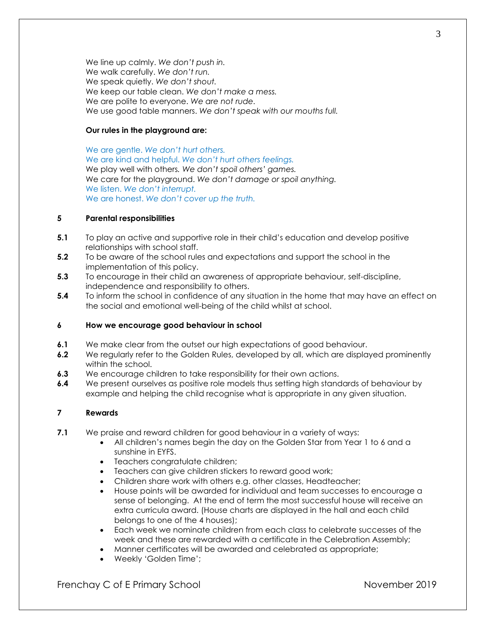We line up calmly. *We don't push in.* We walk carefully. *We don't run.* We speak quietly. *We don't shout.* We keep our table clean. *We don't make a mess.* We are polite to everyone. *We are not rude.* We use good table manners. *We don't speak with our mouths full.*

## **Our rules in the playground are:**

We are gentle. *We don't hurt others.* We are kind and helpful. *We don't hurt others feelings.* We play well with others*. We don't spoil others' games.*  We care for the playground. *We don't damage or spoil anything.* We listen. *We don't interrupt.* We are honest. *We don't cover up the truth.*

## **5 Parental responsibilities**

- **5.1** To play an active and supportive role in their child's education and develop positive relationships with school staff.
- **5.2** To be aware of the school rules and expectations and support the school in the implementation of this policy.
- **5.3** To encourage in their child an awareness of appropriate behaviour, self-discipline, independence and responsibility to others.
- **5.4** To inform the school in confidence of any situation in the home that may have an effect on the social and emotional well-being of the child whilst at school.

## **6 How we encourage good behaviour in school**

- **6.1** We make clear from the outset our high expectations of good behaviour.
- **6.2** We regularly refer to the Golden Rules, developed by all, which are displayed prominently within the school.
- **6.3** We encourage children to take responsibility for their own actions.
- **6.4** We present ourselves as positive role models thus setting high standards of behaviour by example and helping the child recognise what is appropriate in any given situation.

## **7 Rewards**

- **7.1** We praise and reward children for good behaviour in a variety of ways:
	- All children's names begin the day on the Golden Star from Year 1 to 6 and a sunshine in EYFS.
	- Teachers congratulate children;
	- Teachers can give children stickers to reward good work;
	- Children share work with others e.g. other classes, Headteacher;
	- House points will be awarded for individual and team successes to encourage a sense of belonging. At the end of term the most successful house will receive an extra curricula award. (House charts are displayed in the hall and each child belongs to one of the 4 houses);
	- Each week we nominate children from each class to celebrate successes of the week and these are rewarded with a certificate in the Celebration Assembly;
	- Manner certificates will be awarded and celebrated as appropriate;
	- Weekly 'Golden Time';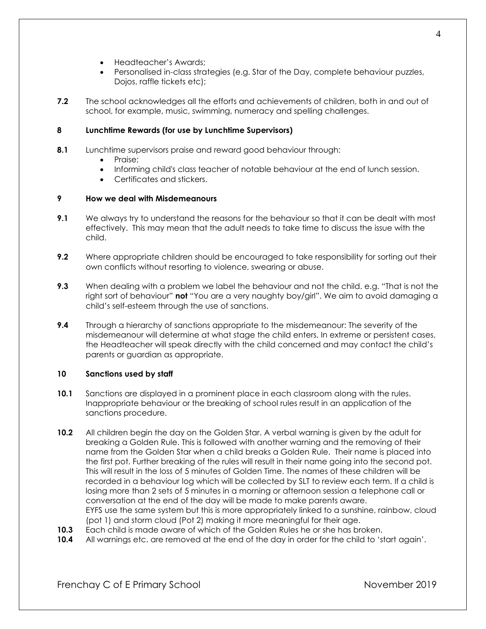- Headteacher's Awards;
- Personalised in-class strategies (e.g. Star of the Day, complete behaviour puzzles, Dojos, raffle tickets etc);
- **7.2** The school acknowledges all the efforts and achievements of children, both in and out of school, for example, music, swimming, numeracy and spelling challenges.

# **8 Lunchtime Rewards (for use by Lunchtime Supervisors)**

- **8.1** Lunchtime supervisors praise and reward good behaviour through:
	- Praise;
	- Informing child's class teacher of notable behaviour at the end of lunch session.
	- Certificates and stickers.

# **9 How we deal with Misdemeanours**

- **9.1** We always try to understand the reasons for the behaviour so that it can be dealt with most effectively. This may mean that the adult needs to take time to discuss the issue with the child.
- **9.2** Where appropriate children should be encouraged to take responsibility for sorting out their own conflicts without resorting to violence, swearing or abuse.
- **9.3** When dealing with a problem we label the behaviour and not the child. e.g. "That is not the right sort of behaviour" **not** "You are a very naughty boy/girl". We aim to avoid damaging a child's self-esteem through the use of sanctions.
- **9.4** Through a hierarchy of sanctions appropriate to the misdemeanour: The severity of the misdemeanour will determine at what stage the child enters. In extreme or persistent cases, the Headteacher will speak directly with the child concerned and may contact the child's parents or guardian as appropriate.

## **10 Sanctions used by staff**

- **10.1** Sanctions are displayed in a prominent place in each classroom along with the rules. Inappropriate behaviour or the breaking of school rules result in an application of the sanctions procedure.
- **10.2** All children begin the day on the Golden Star. A verbal warning is given by the adult for breaking a Golden Rule. This is followed with another warning and the removing of their name from the Golden Star when a child breaks a Golden Rule. Their name is placed into the first pot. Further breaking of the rules will result in their name going into the second pot. This will result in the loss of 5 minutes of Golden Time. The names of these children will be recorded in a behaviour log which will be collected by SLT to review each term. If a child is losing more than 2 sets of 5 minutes in a morning or afternoon session a telephone call or conversation at the end of the day will be made to make parents aware. EYFS use the same system but this is more appropriately linked to a sunshine, rainbow, cloud (pot 1) and storm cloud (Pot 2) making it more meaningful for their age.
- **10.3** Each child is made aware of which of the Golden Rules he or she has broken.
- **10.4** All warnings etc. are removed at the end of the day in order for the child to 'start again'.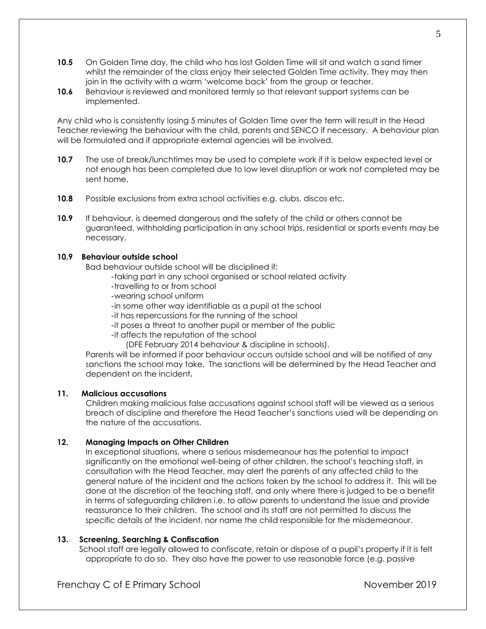- **10.5** On Golden Time day, the child who has lost Golden Time will sit and watch a sand timer whilst the remainder of the class enjoy their selected Golden Time activity. They may then join in the activity with a warm 'welcome back' from the group or teacher.
- **10.6** Behaviour is reviewed and monitored termly so that relevant support systems can be implemented.

Any child who is consistently losing 5 minutes of Golden Time over the term will result in the Head Teacher reviewing the behaviour with the child, parents and SENCO if necessary. A behaviour plan will be formulated and if appropriate external agencies will be involved.

- **10.7** The use of break/lunchtimes may be used to complete work if it is below expected level or not enough has been completed due to low level disruption or work not completed may be sent home.
- **10.8** Possible exclusions from extra school activities e.g. clubs, discos etc.
- **10.9** If behaviour, is deemed dangerous and the safety of the child or others cannot be guaranteed, withholding participation in any school trips, residential or sports events may be necessary.

## **10.9 Behaviour outside school**

Bad behaviour outside school will be disciplined if:

- -taking part in any school organised or school related activity
- -travelling to or from school
- -wearing school uniform
- -in some other way identifiable as a pupil at the school
- -it has repercussions for the running of the school
- -it poses a threat to another pupil or member of the public
- -it affects the reputation of the school
	- (DFE February 2014 behaviour & discipline in schools).

Parents will be informed if poor behaviour occurs outside school and will be notified of any sanctions the school may take. The sanctions will be determined by the Head Teacher and dependent on the incident**.**

## **11. Malicious accusations**

Children making malicious false accusations against school staff will be viewed as a serious breach of discipline and therefore the Head Teacher's sanctions used will be depending on the nature of the accusations.

## **12. Managing Impacts on Other Children**

In exceptional situations, where a serious misdemeanour has the potential to impact significantly on the emotional well-being of other children, the school's teaching staff, in consultation with the Head Teacher, may alert the parents of any affected child to the general nature of the incident and the actions taken by the school to address it. This will be done at the discretion of the teaching staff, and only where there is judged to be a benefit in terms of safeguarding children i.e. to allow parents to understand the issue and provide reassurance to their children. The school and its staff are not permitted to discuss the specific details of the incident, nor name the child responsible for the misdemeanour.

## **13. Screening, Searching & Confiscation**

School staff are legally allowed to confiscate, retain or dispose of a pupil's property if it is felt appropriate to do so. They also have the power to use reasonable force (e.g. passive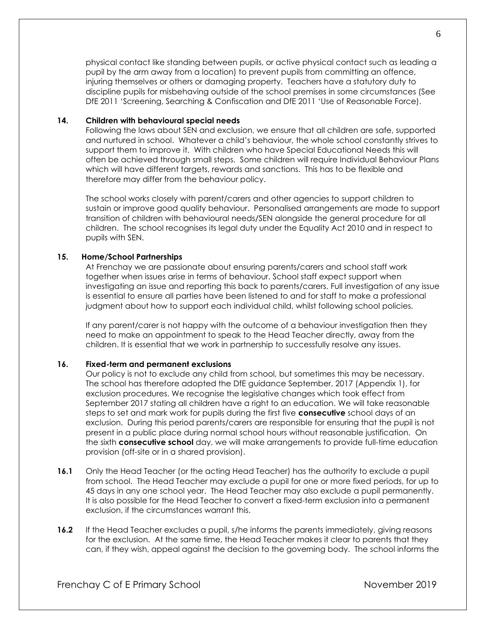physical contact like standing between pupils, or active physical contact such as leading a pupil by the arm away from a location) to prevent pupils from committing an offence, injuring themselves or others or damaging property. Teachers have a statutory duty to discipline pupils for misbehaving outside of the school premises in some circumstances (See DfE 2011 'Screening, Searching & Confiscation and DfE 2011 'Use of Reasonable Force).

## **14. Children with behavioural special needs**

Following the laws about SEN and exclusion, we ensure that all children are safe, supported and nurtured in school. Whatever a child's behaviour, the whole school constantly strives to support them to improve it. With children who have Special Educational Needs this will often be achieved through small steps. Some children will require Individual Behaviour Plans which will have different targets, rewards and sanctions. This has to be flexible and therefore may differ from the behaviour policy.

The school works closely with parent/carers and other agencies to support children to sustain or improve good quality behaviour. Personalised arrangements are made to support transition of children with behavioural needs/SEN alongside the general procedure for all children. The school recognises its legal duty under the Equality Act 2010 and in respect to pupils with SEN.

## **15. Home/School Partnerships**

At Frenchay we are passionate about ensuring parents/carers and school staff work together when issues arise in terms of behaviour. School staff expect support when investigating an issue and reporting this back to parents/carers. Full investigation of any issue is essential to ensure all parties have been listened to and for staff to make a professional judgment about how to support each individual child, whilst following school policies.

If any parent/carer is not happy with the outcome of a behaviour investigation then they need to make an appointment to speak to the Head Teacher directly, away from the children. It is essential that we work in partnership to successfully resolve any issues.

# **16. Fixed-term and permanent exclusions**

Our policy is not to exclude any child from school, but sometimes this may be necessary. The school has therefore adopted the DfE guidance September, 2017 (Appendix 1), for exclusion procedures. We recognise the legislative changes which took effect from September 2017 stating all children have a right to an education. We will take reasonable steps to set and mark work for pupils during the first five **consecutive** school days of an exclusion. During this period parents/carers are responsible for ensuring that the pupil is not present in a public place during normal school hours without reasonable justification. On the sixth **consecutive school** day, we will make arrangements to provide full-time education provision (off-site or in a shared provision).

- **16.1** Only the Head Teacher (or the acting Head Teacher) has the authority to exclude a pupil from school. The Head Teacher may exclude a pupil for one or more fixed periods, for up to 45 days in any one school year. The Head Teacher may also exclude a pupil permanently. It is also possible for the Head Teacher to convert a fixed-term exclusion into a permanent exclusion, if the circumstances warrant this.
- **16.2** If the Head Teacher excludes a pupil, s/he informs the parents immediately, giving reasons for the exclusion. At the same time, the Head Teacher makes it clear to parents that they can, if they wish, appeal against the decision to the governing body. The school informs the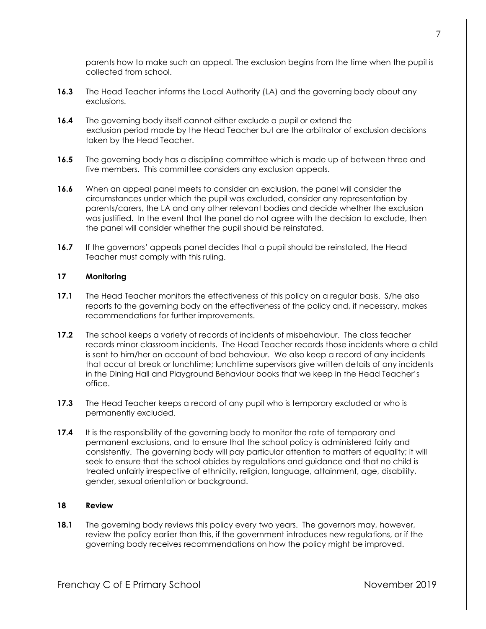parents how to make such an appeal. The exclusion begins from the time when the pupil is collected from school.

- **16.3** The Head Teacher informs the Local Authority (LA) and the governing body about any exclusions.
- **16.4** The governing body itself cannot either exclude a pupil or extend the exclusion period made by the Head Teacher but are the arbitrator of exclusion decisions taken by the Head Teacher.
- **16.5** The governing body has a discipline committee which is made up of between three and five members. This committee considers any exclusion appeals.
- **16.6** When an appeal panel meets to consider an exclusion, the panel will consider the circumstances under which the pupil was excluded, consider any representation by parents/carers, the LA and any other relevant bodies and decide whether the exclusion was justified. In the event that the panel do not agree with the decision to exclude, then the panel will consider whether the pupil should be reinstated.
- **16.7** If the governors' appeals panel decides that a pupil should be reinstated, the Head Teacher must comply with this ruling.

## **17 Monitoring**

- **17.1** The Head Teacher monitors the effectiveness of this policy on a regular basis. S/he also reports to the governing body on the effectiveness of the policy and, if necessary, makes recommendations for further improvements.
- **17.2** The school keeps a variety of records of incidents of misbehaviour. The class teacher records minor classroom incidents. The Head Teacher records those incidents where a child is sent to him/her on account of bad behaviour. We also keep a record of any incidents that occur at break or lunchtime; lunchtime supervisors give written details of any incidents in the Dining Hall and Playground Behaviour books that we keep in the Head Teacher's office.
- **17.3** The Head Teacher keeps a record of any pupil who is temporary excluded or who is permanently excluded.
- **17.4** It is the responsibility of the governing body to monitor the rate of temporary and permanent exclusions, and to ensure that the school policy is administered fairly and consistently. The governing body will pay particular attention to matters of equality; it will seek to ensure that the school abides by regulations and guidance and that no child is treated unfairly irrespective of ethnicity, religion, language, attainment, age, disability, gender, sexual orientation or background.

#### **18 Review**

**18.1** The governing body reviews this policy every two years. The governors may, however, review the policy earlier than this, if the government introduces new regulations, or if the governing body receives recommendations on how the policy might be improved.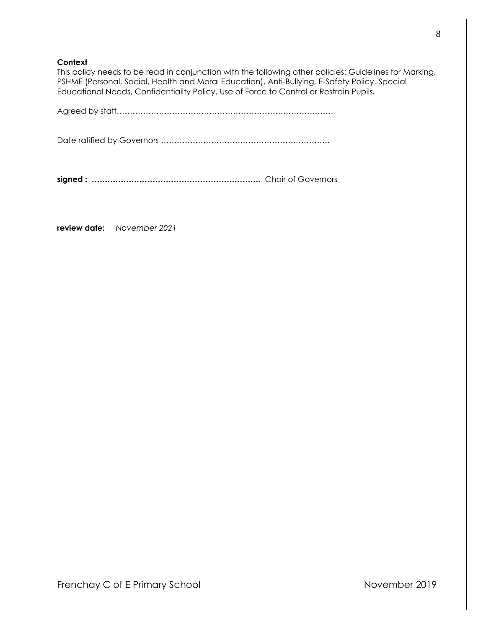## **Context**

This policy needs to be read in conjunction with the following other policies: Guidelines for Marking, PSHME (Personal, Social, Health and Moral Education), Anti-Bullying, E-Safety Policy, Special Educational Needs, Confidentiality Policy, Use of Force to Control or Restrain Pupils**.** 

Agreed by staff……………………………………………………………………….

Date ratified by Governors ……………………………………………………….

**signed : ……………………………………………………….** Chair of Governors

**review date:** *November 2021*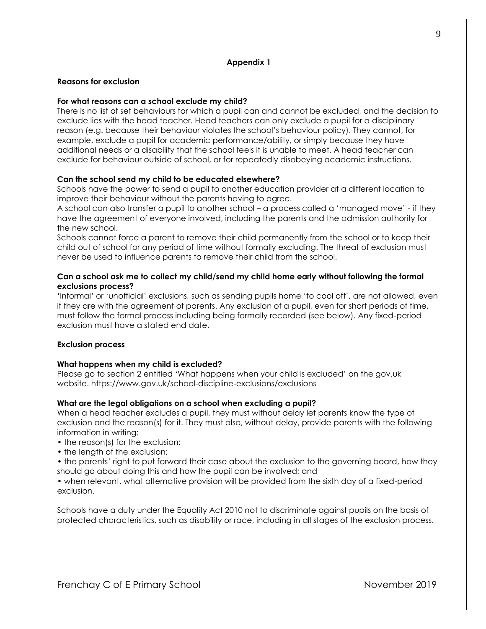#### **Appendix 1**

#### **Reasons for exclusion**

#### **For what reasons can a school exclude my child?**

There is no list of set behaviours for which a pupil can and cannot be excluded, and the decision to exclude lies with the head teacher. Head teachers can only exclude a pupil for a disciplinary reason (e.g. because their behaviour violates the school's behaviour policy). They cannot, for example, exclude a pupil for academic performance/ability, or simply because they have additional needs or a disability that the school feels it is unable to meet. A head teacher can exclude for behaviour outside of school, or for repeatedly disobeying academic instructions.

### **Can the school send my child to be educated elsewhere?**

Schools have the power to send a pupil to another education provider at a different location to improve their behaviour without the parents having to agree.

A school can also transfer a pupil to another school – a process called a 'managed move' - if they have the agreement of everyone involved, including the parents and the admission authority for the new school.

Schools cannot force a parent to remove their child permanently from the school or to keep their child out of school for any period of time without formally excluding. The threat of exclusion must never be used to influence parents to remove their child from the school.

## **Can a school ask me to collect my child/send my child home early without following the formal exclusions process?**

'Informal' or 'unofficial' exclusions, such as sending pupils home 'to cool off', are not allowed, even if they are with the agreement of parents. Any exclusion of a pupil, even for short periods of time, must follow the formal process including being formally recorded (see below). Any fixed-period exclusion must have a stated end date.

#### **Exclusion process**

#### **What happens when my child is excluded?**

Please go to section 2 entitled 'What happens when your child is excluded' on the gov.uk website. https://www.gov.uk/school-discipline-exclusions/exclusions

#### **What are the legal obligations on a school when excluding a pupil?**

When a head teacher excludes a pupil, they must without delay let parents know the type of exclusion and the reason(s) for it. They must also, without delay, provide parents with the following information in writing:

- the reason(s) for the exclusion;
- the length of the exclusion;
- the parents' right to put forward their case about the exclusion to the governing board, how they should go about doing this and how the pupil can be involved; and

• when relevant, what alternative provision will be provided from the sixth day of a fixed-period exclusion.

Schools have a duty under the Equality Act 2010 not to discriminate against pupils on the basis of protected characteristics, such as disability or race, including in all stages of the exclusion process.